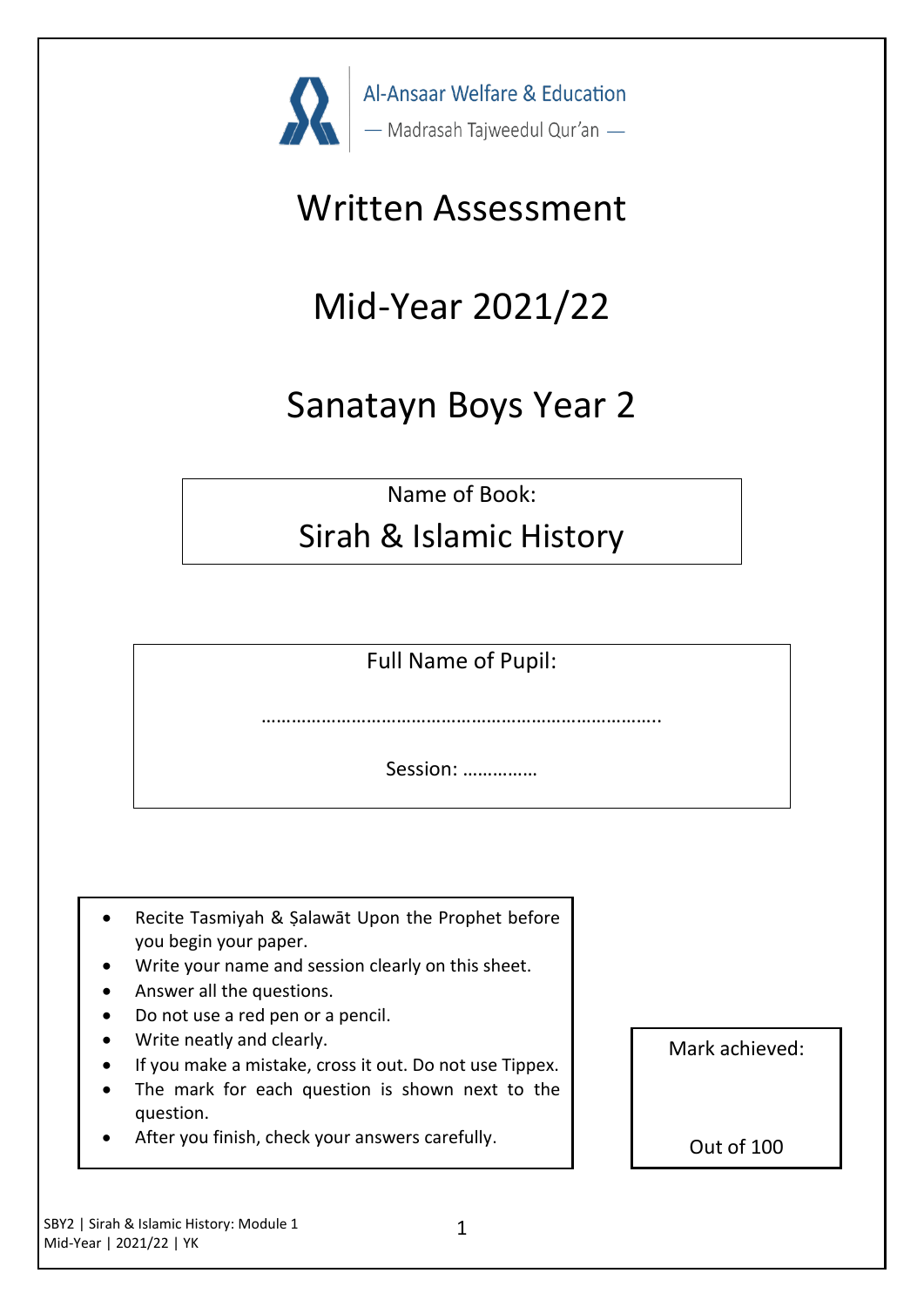

# Written Assessment

# Mid-Year 2021/22

# Sanatayn Boys Year 2

Name of Book:

## Sirah & Islamic History

Full Name of Pupil:

…………………………………………………………………

Session: ……………

- Recite Tasmiyah & Şalawāt Upon the Prophet before you begin your paper.
- Write your name and session clearly on this sheet.
- Answer all the questions.
- Do not use a red pen or a pencil.
- Write neatly and clearly.
- If you make a mistake, cross it out. Do not use Tippex.
- The mark for each question is shown next to the question.
- After you finish, check your answers carefully.

Mark achieved:

Out of 100

SBY2 | Sirah & Islamic History: Module 1 Mid-Year | 2021/22 | YK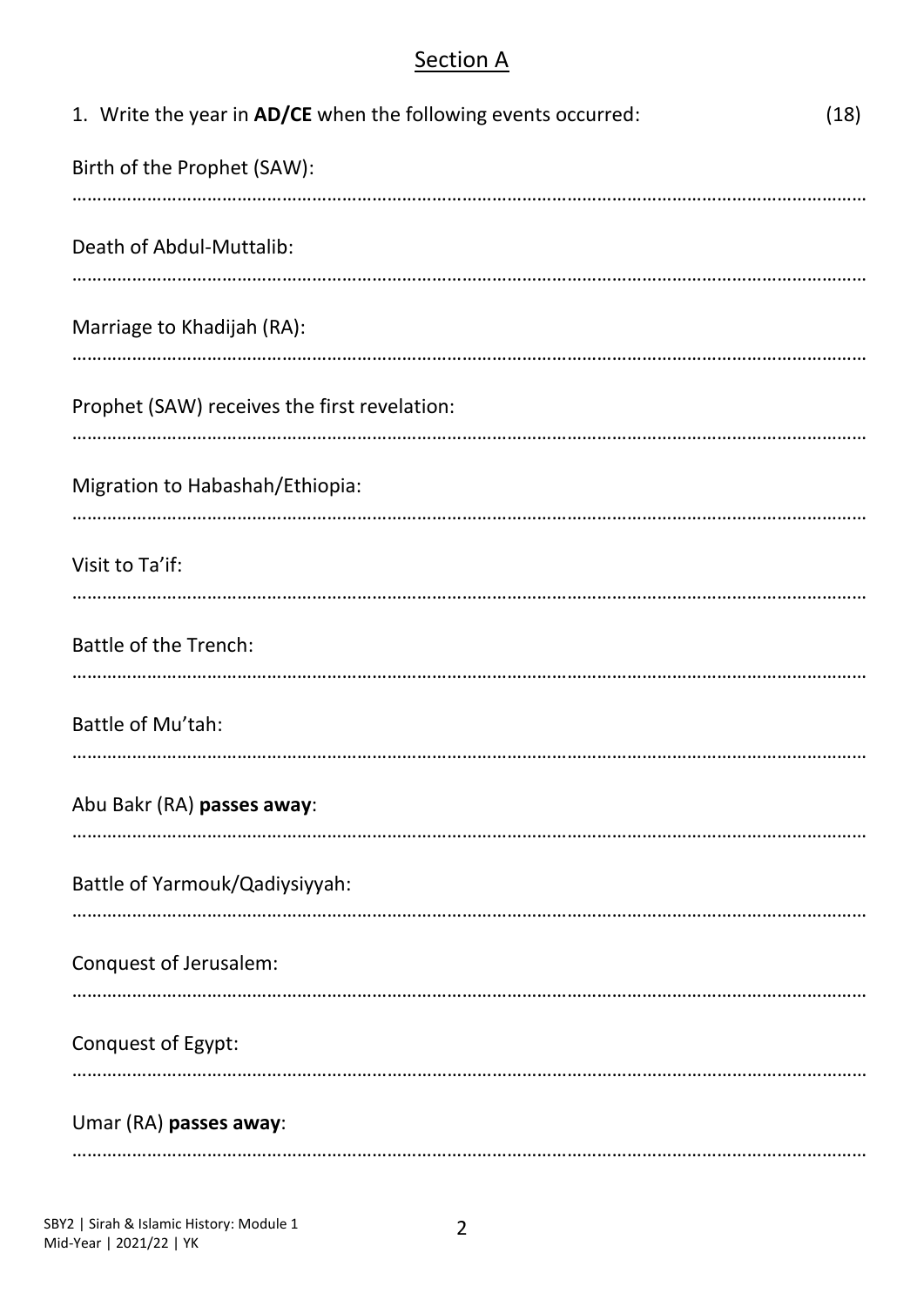### **Section A**

| 1. Write the year in AD/CE when the following events occurred:<br>(18) |
|------------------------------------------------------------------------|
| Birth of the Prophet (SAW):                                            |
| Death of Abdul-Muttalib:                                               |
| Marriage to Khadijah (RA):                                             |
| Prophet (SAW) receives the first revelation:                           |
| Migration to Habashah/Ethiopia:                                        |
| Visit to Ta'if:                                                        |
| <b>Battle of the Trench:</b>                                           |
| Battle of Mu'tah:                                                      |
| Abu Bakr (RA) passes away:                                             |
| Battle of Yarmouk/Qadiysiyyah:                                         |
| Conquest of Jerusalem:                                                 |
| Conquest of Egypt:                                                     |
| Umar (RA) passes away:                                                 |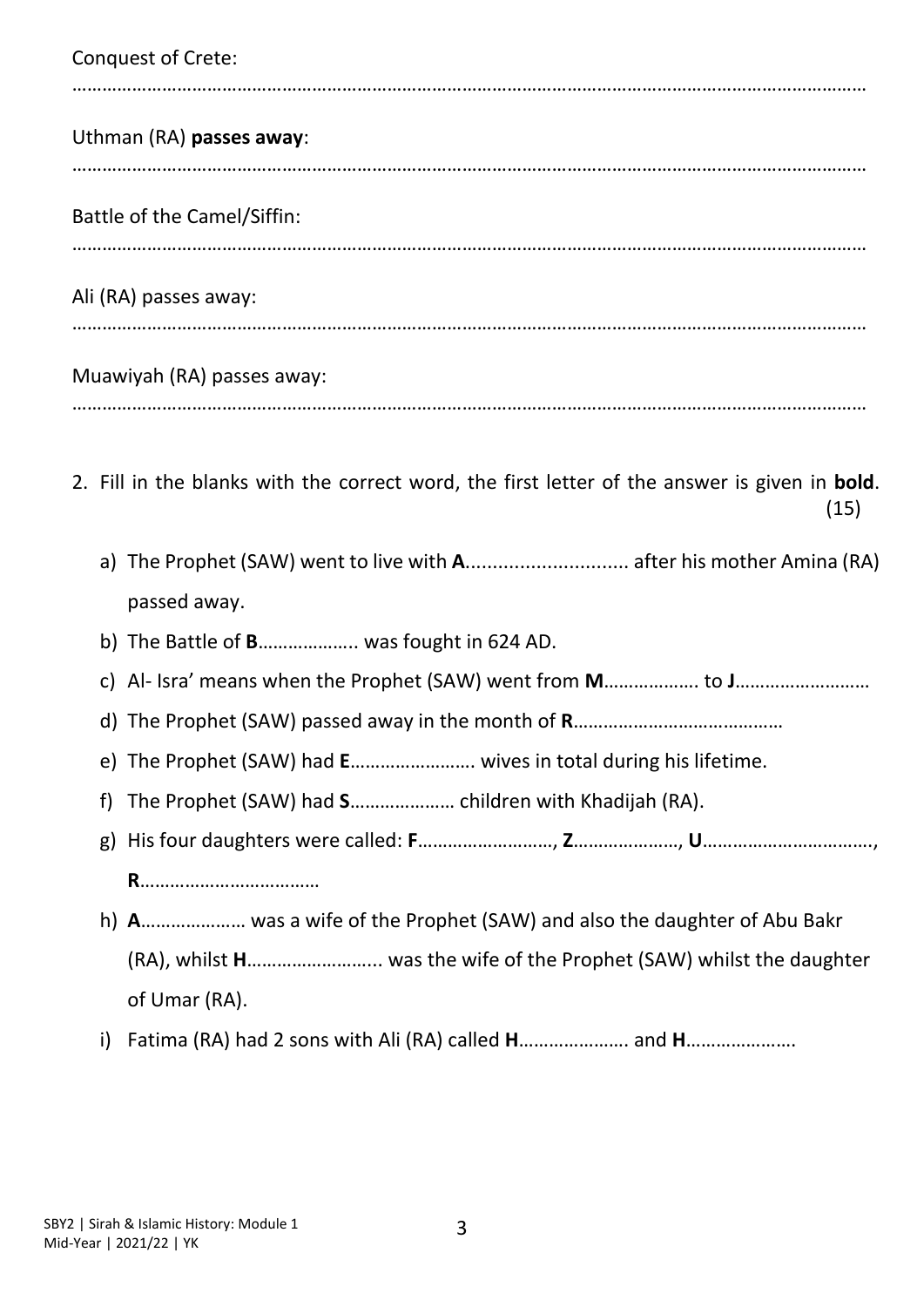| <b>Conquest of Crete:</b>                                                                                     |
|---------------------------------------------------------------------------------------------------------------|
| Uthman (RA) passes away:                                                                                      |
| Battle of the Camel/Siffin:                                                                                   |
| Ali (RA) passes away:                                                                                         |
| Muawiyah (RA) passes away:                                                                                    |
| 2. Fill in the blanks with the correct word, the first letter of the answer is given in <b>bold</b> .<br>(15) |
| a) The Prophet (SAW) went to live with A after his mother Amina (RA)<br>passed away.                          |
| b) The Battle of B was fought in 624 AD.                                                                      |
| C)                                                                                                            |
|                                                                                                               |
| e) The Prophet (SAW) had E wives in total during his lifetime.                                                |
| f)                                                                                                            |
| g)                                                                                                            |
|                                                                                                               |
| h) A was a wife of the Prophet (SAW) and also the daughter of Abu Bakr                                        |
| (RA), whilst H was the wife of the Prophet (SAW) whilst the daughter                                          |
| of Umar (RA).                                                                                                 |
|                                                                                                               |

i) Fatima (RA) had 2 sons with Ali (RA) called **H**…………………. and **H**………………….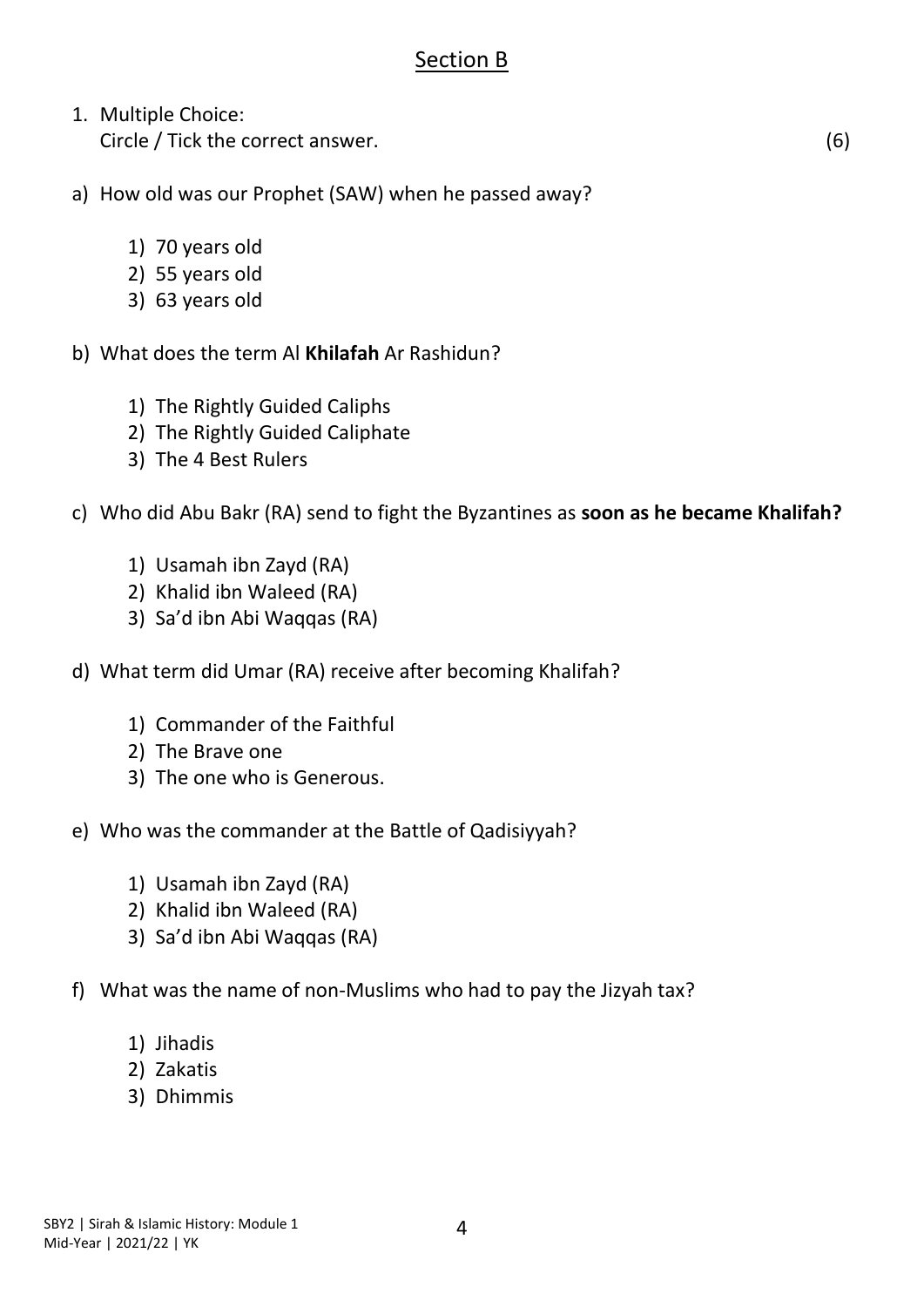### Section B

1. Multiple Choice: Circle / Tick the correct answer. (6)

a) How old was our Prophet (SAW) when he passed away?

- 1) 70 years old
- 2) 55 years old
- 3) 63 years old

b) What does the term Al **Khilafah** Ar Rashidun?

- 1) The Rightly Guided Caliphs
- 2) The Rightly Guided Caliphate
- 3) The 4 Best Rulers

#### c) Who did Abu Bakr (RA) send to fight the Byzantines as **soon as he became Khalifah?**

- 1) Usamah ibn Zayd (RA)
- 2) Khalid ibn Waleed (RA)
- 3) Sa'd ibn Abi Waqqas (RA)
- d) What term did Umar (RA) receive after becoming Khalifah?
	- 1) Commander of the Faithful
	- 2) The Brave one
	- 3) The one who is Generous.
- e) Who was the commander at the Battle of Qadisiyyah?
	- 1) Usamah ibn Zayd (RA)
	- 2) Khalid ibn Waleed (RA)
	- 3) Sa'd ibn Abi Waqqas (RA)
- f) What was the name of non-Muslims who had to pay the Jizyah tax?
	- 1) Jihadis
	- 2) Zakatis
	- 3) Dhimmis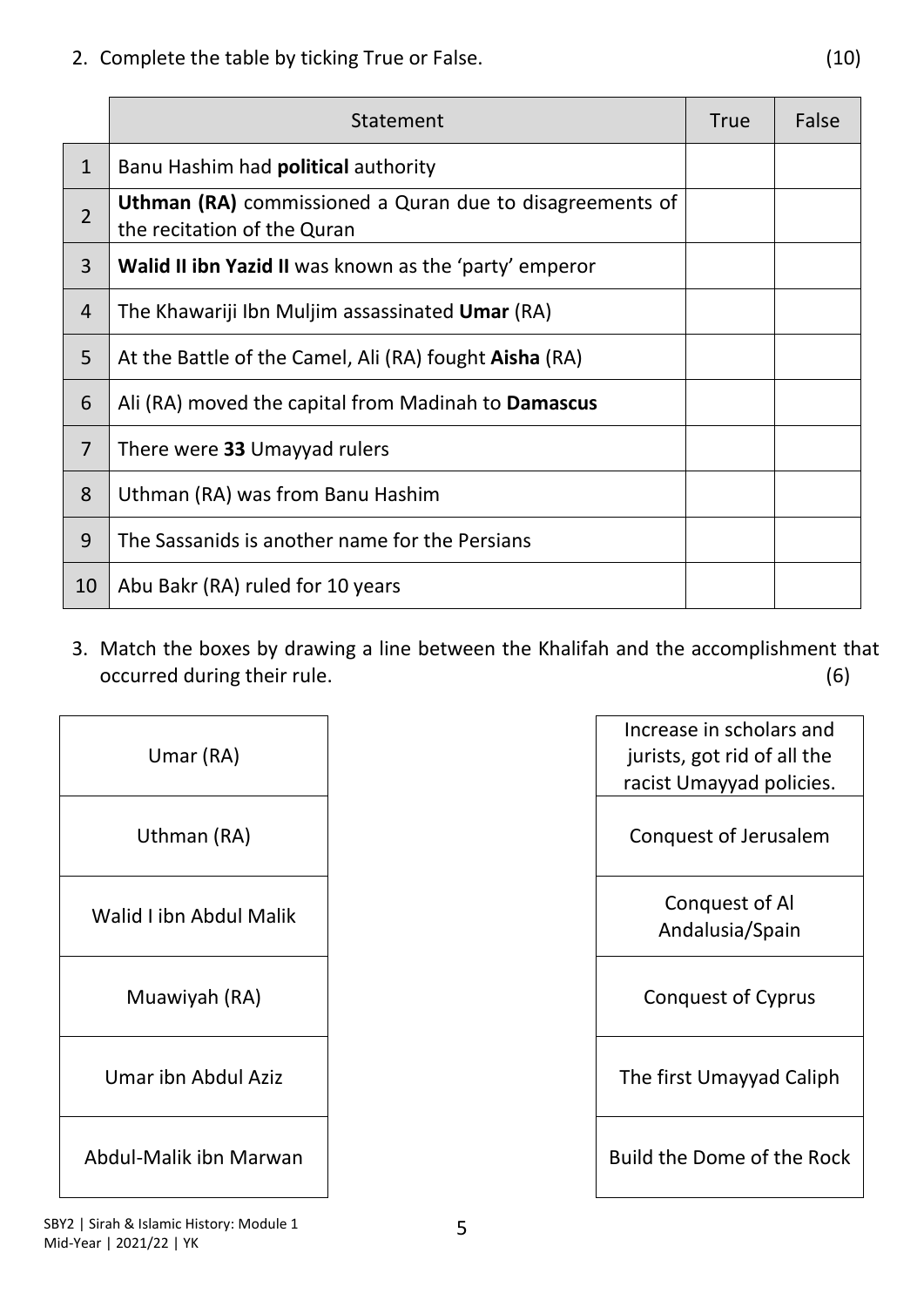2. Complete the table by ticking True or False. (10)

|                | Statement                                                                                      | <b>True</b> | False |
|----------------|------------------------------------------------------------------------------------------------|-------------|-------|
| $\mathbf{1}$   | Banu Hashim had <b>political</b> authority                                                     |             |       |
| $\overline{2}$ | <b>Uthman (RA)</b> commissioned a Quran due to disagreements of<br>the recitation of the Quran |             |       |
| 3              | <b>Walid II ibn Yazid II</b> was known as the 'party' emperor                                  |             |       |
| $\overline{4}$ | The Khawariji Ibn Muljim assassinated <b>Umar</b> (RA)                                         |             |       |
| 5              | At the Battle of the Camel, Ali (RA) fought <b>Aisha</b> (RA)                                  |             |       |
| 6              | Ali (RA) moved the capital from Madinah to <b>Damascus</b>                                     |             |       |
| $\overline{7}$ | There were 33 Umayyad rulers                                                                   |             |       |
| 8              | Uthman (RA) was from Banu Hashim                                                               |             |       |
| 9              | The Sassanids is another name for the Persians                                                 |             |       |
| 10             | Abu Bakr (RA) ruled for 10 years                                                               |             |       |

3. Match the boxes by drawing a line between the Khalifah and the accomplishment that occurred during their rule. occurred during their rule.

 $\mathsf{r}$ 

| Umar (RA)               | Increase in scholars<br>jurists, got rid of all<br>racist Umayyad poli |
|-------------------------|------------------------------------------------------------------------|
| Uthman (RA)             | Conquest of Jerusa                                                     |
| Walid I ibn Abdul Malik | Conquest of Al<br>Andalusia/Spair                                      |
| Muawiyah (RA)           | Conquest of Cypr                                                       |
| Umar ibn Abdul Aziz     | The first Umayyad C                                                    |
| Abdul-Malik ibn Marwan  | Build the Dome of the                                                  |

| Umar (RA)               | Increase in scholars and<br>jurists, got rid of all the<br>racist Umayyad policies. |
|-------------------------|-------------------------------------------------------------------------------------|
| Uthman (RA)             | Conquest of Jerusalem                                                               |
| /alid I ibn Abdul Malik | Conquest of Al<br>Andalusia/Spain                                                   |
| Muawiyah (RA)           | <b>Conquest of Cyprus</b>                                                           |
| Umar ibn Abdul Aziz     | The first Umayyad Caliph                                                            |
| dul-Malik ibn Marwan    | Build the Dome of the Rock                                                          |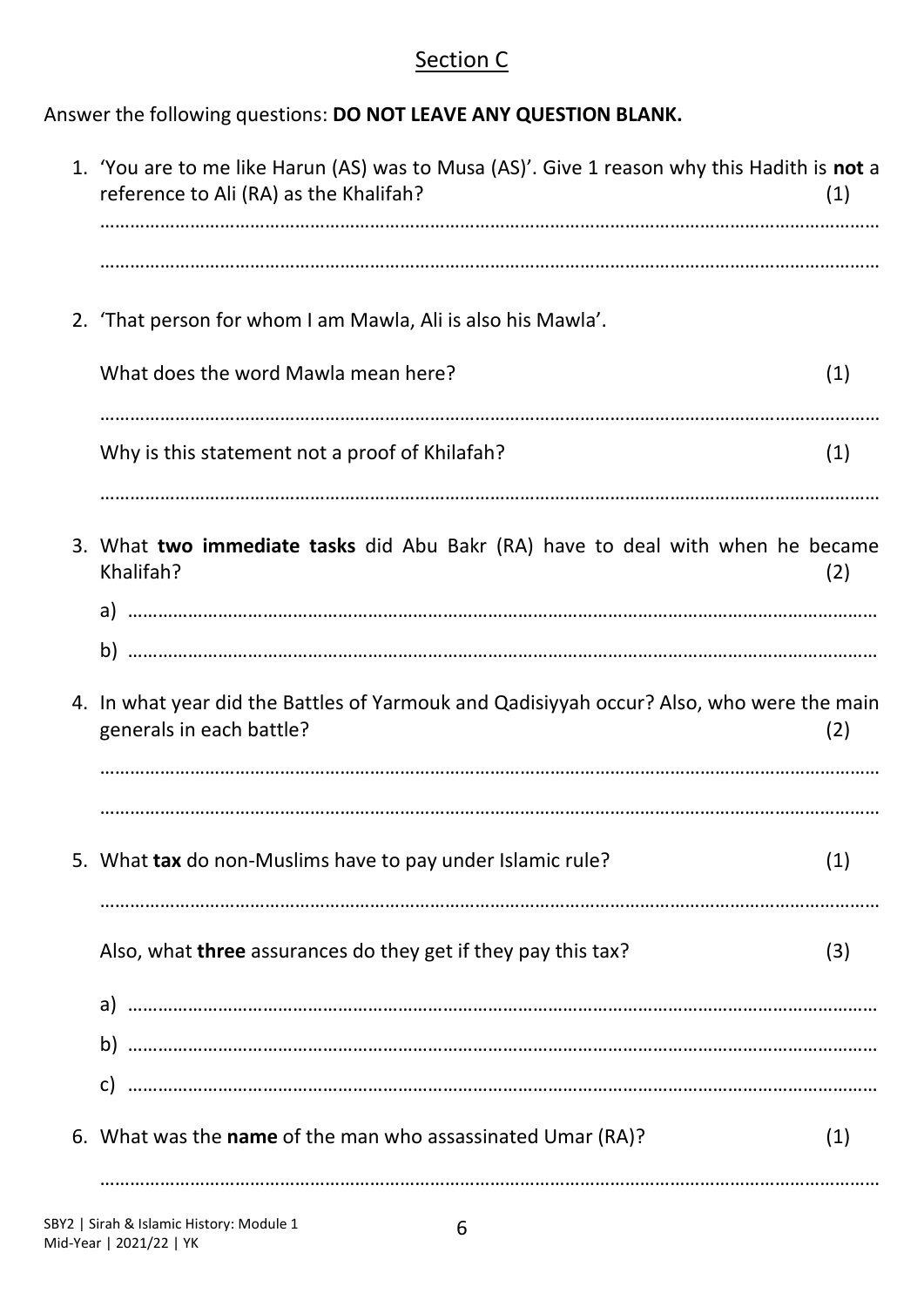### Section C

Answer the following questions: **DO NOT LEAVE ANY QUESTION BLANK.**

| 1. 'You are to me like Harun (AS) was to Musa (AS)'. Give 1 reason why this Hadith is not a<br>reference to Ali (RA) as the Khalifah? | (1) |
|---------------------------------------------------------------------------------------------------------------------------------------|-----|
| 2. 'That person for whom I am Mawla, Ali is also his Mawla'.                                                                          |     |
| What does the word Mawla mean here?                                                                                                   | (1) |
| Why is this statement not a proof of Khilafah?                                                                                        | (1) |
| 3. What two immediate tasks did Abu Bakr (RA) have to deal with when he became<br>Khalifah?                                           | (2) |
| b)                                                                                                                                    |     |
| 4. In what year did the Battles of Yarmouk and Qadisiyyah occur? Also, who were the main<br>generals in each battle?                  | (2) |
|                                                                                                                                       |     |
| 5. What tax do non-Muslims have to pay under Islamic rule?                                                                            | (1) |
| Also, what three assurances do they get if they pay this tax?                                                                         | (3) |
|                                                                                                                                       |     |
|                                                                                                                                       |     |
| 6. What was the name of the man who assassinated Umar (RA)?                                                                           | (1) |
|                                                                                                                                       |     |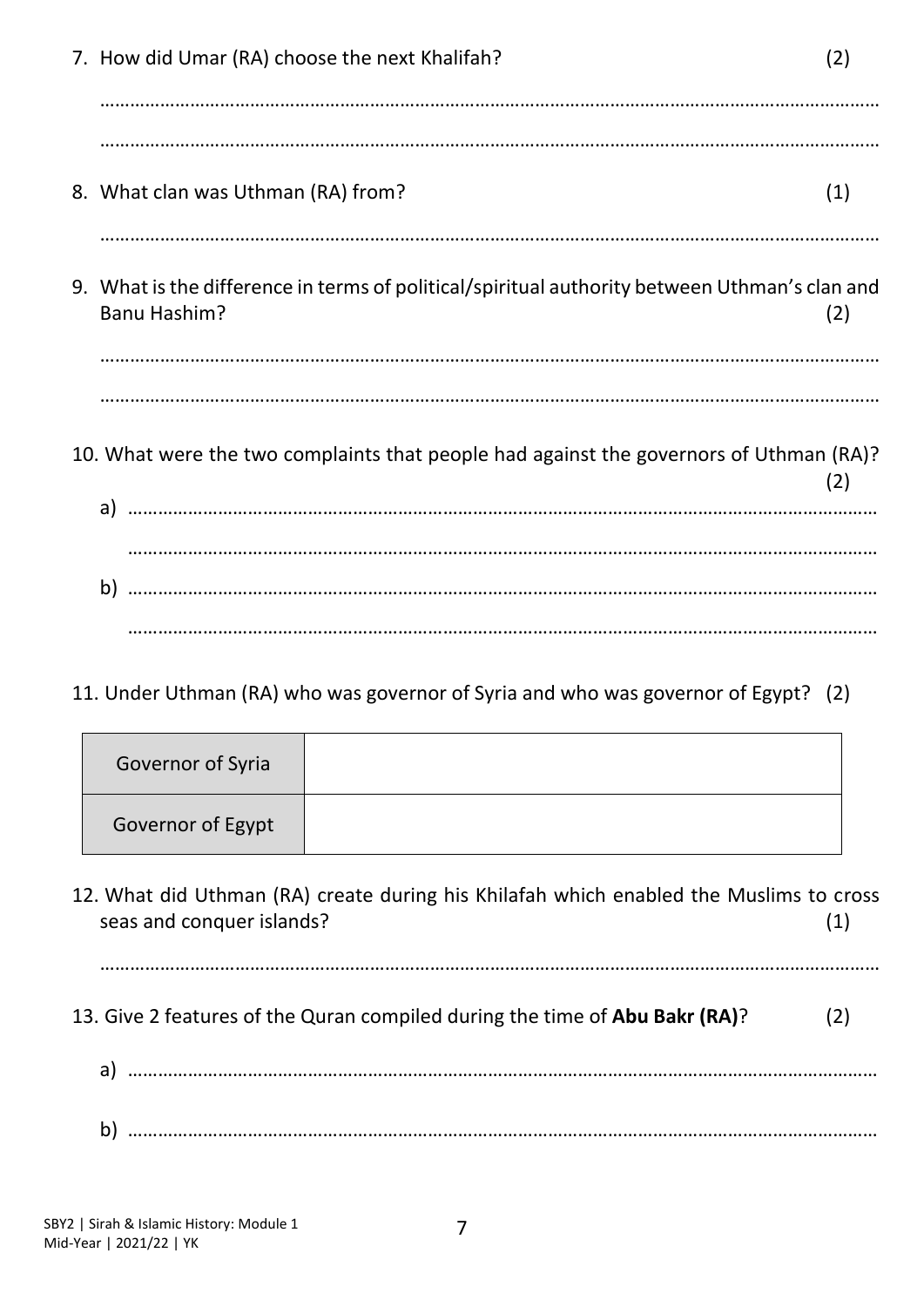| 7. How did Umar (RA) choose the next Khalifah?                                                                | (2) |
|---------------------------------------------------------------------------------------------------------------|-----|
|                                                                                                               |     |
| 8. What clan was Uthman (RA) from?                                                                            | (1) |
|                                                                                                               |     |
| 9. What is the difference in terms of political/spiritual authority between Uthman's clan and<br>Banu Hashim? | (2) |
|                                                                                                               |     |
|                                                                                                               |     |
| 10. What were the two complaints that people had against the governors of Uthman (RA)?                        | (2) |
|                                                                                                               |     |
|                                                                                                               |     |
| b)                                                                                                            |     |
|                                                                                                               |     |

11. Under Uthman (RA) who was governor of Syria and who was governor of Egypt? (2)

| Governor of Syria |  |
|-------------------|--|
| Governor of Egypt |  |

12. What did Uthman (RA) create during his Khilafah which enabled the Muslims to cross seas and conquer islands? (1)

…………………………………………………………………………………………………………………………………………

- 13. Give 2 features of the Quran compiled during the time of **Abu Bakr (RA)**? (2)
	- a) ……………………………………………………………………………………………………………………………………
	- b) ……………………………………………………………………………………………………………………………………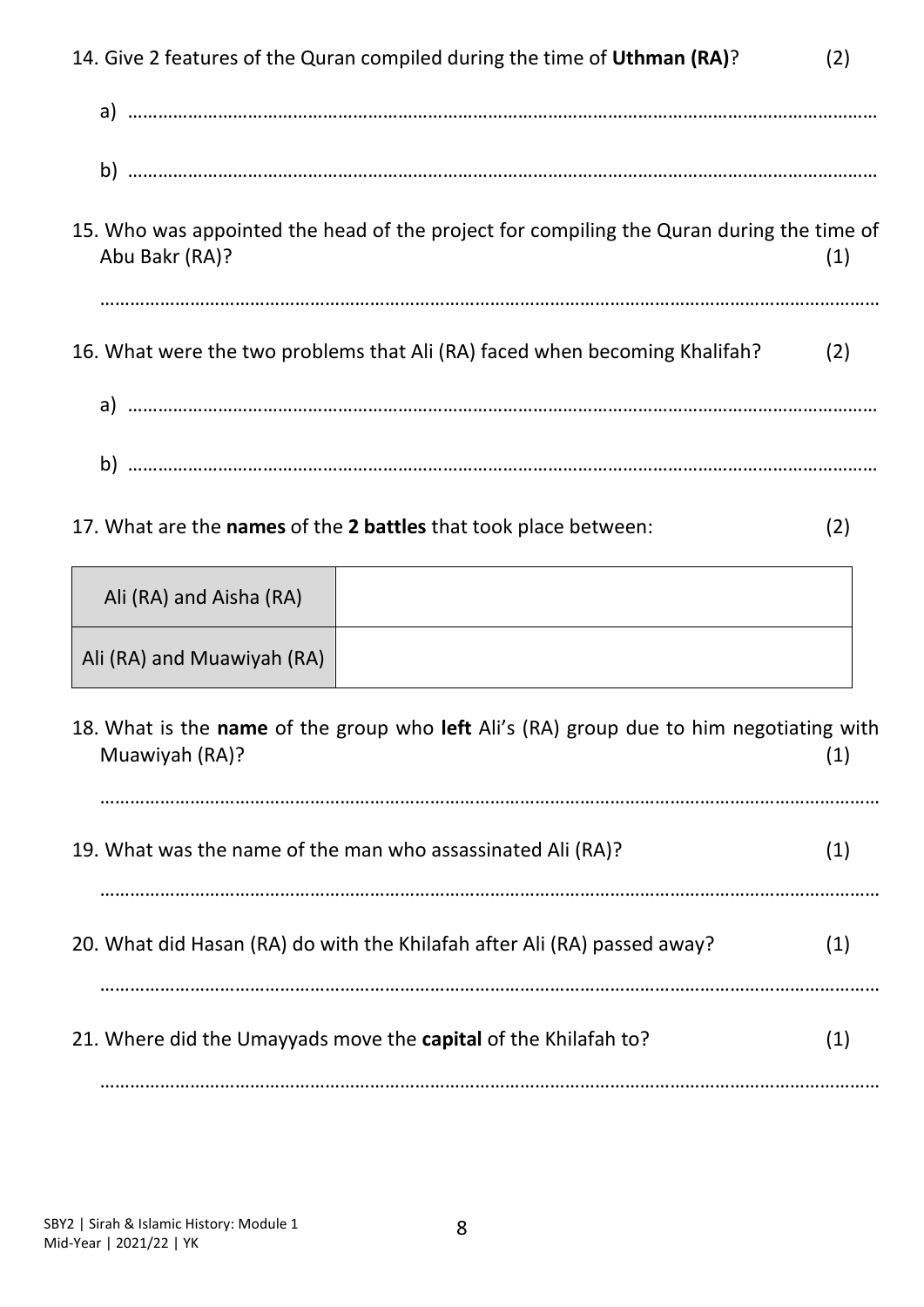| 14. Give 2 features of the Quran compiled during the time of Uthman (RA)?                                  | (2) |
|------------------------------------------------------------------------------------------------------------|-----|
|                                                                                                            |     |
|                                                                                                            |     |
| 15. Who was appointed the head of the project for compiling the Quran during the time of<br>Abu Bakr (RA)? | (1) |
| 16. What were the two problems that Ali (RA) faced when becoming Khalifah?                                 | (2) |
|                                                                                                            |     |
| 17. What are the names of the 2 battles that took place between:                                           | (2) |
| Ali (RA) and Aisha (RA)                                                                                    |     |
| Ali (RA) and Muawiyah (RA)                                                                                 |     |
| 18. What is the name of the group who left Ali's (RA) group due to him negotiating with<br>Muawiyah (RA)?  | (1) |
| 19. What was the name of the man who assassinated Ali (RA)?                                                | (1) |
| 20. What did Hasan (RA) do with the Khilafah after Ali (RA) passed away?                                   | (1) |
|                                                                                                            |     |

21. Where did the Umayyads move the **capital** of the Khilafah to? (1)

…………………………………………………………………………………………………………………………………………